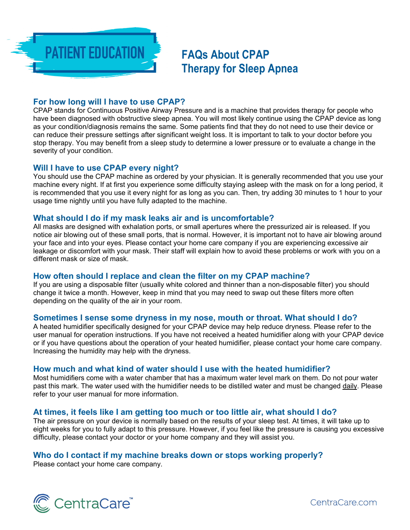

**FAQs About CPAP Therapy for Sleep Apnea** 

## **For how long will I have to use CPAP?**

CPAP stands for Continuous Positive Airway Pressure and is a machine that provides therapy for people who have been diagnosed with obstructive sleep apnea. You will most likely continue using the CPAP device as long as your condition/diagnosis remains the same. Some patients find that they do not need to use their device or can reduce their pressure settings after significant weight loss. It is important to talk to your doctor before you stop therapy. You may benefit from a sleep study to determine a lower pressure or to evaluate a change in the severity of your condition.

## **Will I have to use CPAP every night?**

You should use the CPAP machine as ordered by your physician. It is generally recommended that you use your machine every night. If at first you experience some difficulty staying asleep with the mask on for a long period, it is recommended that you use it every night for as long as you can. Then, try adding 30 minutes to 1 hour to your usage time nightly until you have fully adapted to the machine.

## **What should I do if my mask leaks air and is uncomfortable?**

All masks are designed with exhalation ports, or small apertures where the pressurized air is released. If you notice air blowing out of these small ports, that is normal. However, it is important not to have air blowing around your face and into your eyes. Please contact your home care company if you are experiencing excessive air leakage or discomfort with your mask. Their staff will explain how to avoid these problems or work with you on a different mask or size of mask.

# **How often should I replace and clean the filter on my CPAP machine?**

If you are using a disposable filter (usually white colored and thinner than a non-disposable filter) you should change it twice a month. However, keep in mind that you may need to swap out these filters more often depending on the quality of the air in your room.

## **Sometimes I sense some dryness in my nose, mouth or throat. What should I do?**

A heated humidifier specifically designed for your CPAP device may help reduce dryness. Please refer to the user manual for operation instructions. If you have not received a heated humidifier along with your CPAP device or if you have questions about the operation of your heated humidifier, please contact your home care company. Increasing the humidity may help with the dryness.

## **How much and what kind of water should I use with the heated humidifier?**

Most humidifiers come with a water chamber that has a maximum water level mark on them. Do not pour water past this mark. The water used with the humidifier needs to be distilled water and must be changed daily. Please refer to your user manual for more information.

## **At times, it feels like I am getting too much or too little air, what should I do?**

The air pressure on your device is normally based on the results of your sleep test. At times, it will take up to eight weeks for you to fully adapt to this pressure. However, if you feel like the pressure is causing you excessive difficulty, please contact your doctor or your home company and they will assist you.

# **Who do I contact if my machine breaks down or stops working properly?**

Please contact your home care company.